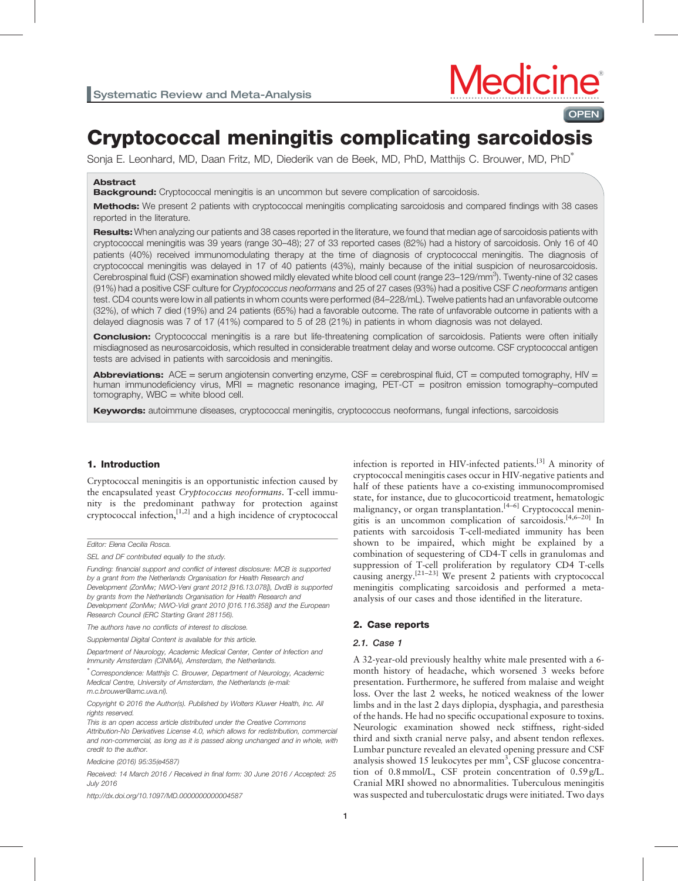

**OPEN** 

# Cryptococcal meningitis complicating sarcoidosis

Sonja E. Leonhard, MD, Daan Fritz, MD, Diederik van de Beek, MD, PhD, Matthijs C. Brouwer, MD, PhD<sup>∗</sup>

## Abstract

Background: Cryptococcal meningitis is an uncommon but severe complication of sarcoidosis.

Methods: We present 2 patients with cryptococcal meningitis complicating sarcoidosis and compared findings with 38 cases reported in the literature.

Results: When analyzing our patients and 38 cases reported in the literature, we found that median age of sarcoidosis patients with cryptococcal meningitis was 39 years (range 30–48); 27 of 33 reported cases (82%) had a history of sarcoidosis. Only 16 of 40 patients (40%) received immunomodulating therapy at the time of diagnosis of cryptococcal meningitis. The diagnosis of cryptococcal meningitis was delayed in 17 of 40 patients (43%), mainly because of the initial suspicion of neurosarcoidosis. Cerebrospinal fluid (CSF) examination showed mildly elevated white blood cell count (range 23-129/mm<sup>3</sup>). Twenty-nine of 32 cases (91%) had a positive CSF culture for Cryptococcus neoformans and 25 of 27 cases (93%) had a positive CSF C neoformans antigen test. CD4 counts were low in all patients in whom counts were performed (84–228/mL). Twelve patients had an unfavorable outcome (32%), of which 7 died (19%) and 24 patients (65%) had a favorable outcome. The rate of unfavorable outcome in patients with a delayed diagnosis was 7 of 17 (41%) compared to 5 of 28 (21%) in patients in whom diagnosis was not delayed.

**Conclusion:** Cryptococcal meningitis is a rare but life-threatening complication of sarcoidosis. Patients were often initially misdiagnosed as neurosarcoidosis, which resulted in considerable treatment delay and worse outcome. CSF cryptococcal antigen tests are advised in patients with sarcoidosis and meningitis.

Abbreviations: ACE = serum angiotensin converting enzyme, CSF = cerebrospinal fluid, CT = computed tomography, HIV = human immunodeficiency virus, MRI = magnetic resonance imaging, PET-CT = positron emission tomography-computed  $tomography$ , WBC = white blood cell.

Keywords: autoimmune diseases, cryptococcal meningitis, cryptococcus neoformans, fungal infections, sarcoidosis

# 1. Introduction

Cryptococcal meningitis is an opportunistic infection caused by the encapsulated yeast Cryptococcus neoformans. T-cell immunity is the predominant pathway for protection against cryptococcal infection,  $[1,2]$  and a high incidence of cryptococcal

Funding: financial support and conflict of interest disclosure: MCB is supported by a grant from the Netherlands Organisation for Health Research and Development (ZonMw; NWO-Veni grant 2012 [916.13.078]), DvdB is supported by grants from the Netherlands Organisation for Health Research and Development (ZonMw; NWO-Vidi grant 2010 [016.116.358]) and the European Research Council (ERC Starting Grant 281156).

The authors have no conflicts of interest to disclose.

Supplemental Digital Content is available for this article.

Department of Neurology, Academic Medical Center, Center of Infection and Immunity Amsterdam (CINIMA), Amsterdam, the Netherlands.

∗ Correspondence: Matthijs C. Brouwer, Department of Neurology, Academic Medical Centre, University of Amsterdam, the Netherlands (e-mail: [m.c.brouwer@amc.uva.nl](mailto:m�.�c.brouwer@amc.uva.nl)).

Copyright © 2016 the Author(s). Published by Wolters Kluwer Health, Inc. All rights reserved.

This is an open access article distributed under the Creative Commons Attribution-No Derivatives License 4.0, which allows for redistribution, commercial and non-commercial, as long as it is passed along unchanged and in whole, with credit to the author.

Medicine (2016) 95:35(e4587)

Received: 14 March 2016 / Received in final form: 30 June 2016 / Accepted: 25 July 2016

<http://dx.doi.org/10.1097/MD.0000000000004587>

infection is reported in HIV-infected patients.<sup>[\[3\]](#page-4-0)</sup> A minority of cryptococcal meningitis cases occur in HIV-negative patients and half of these patients have a co-existing immunocompromised state, for instance, due to glucocorticoid treatment, hematologic malignancy, or organ transplantation.<sup>[4-6]</sup> Cryptococcal meningitis is an uncommon complication of sarcoidosis.<sup>[4,6-20]</sup> In patients with sarcoidosis T-cell-mediated immunity has been shown to be impaired, which might be explained by a combination of sequestering of CD4-T cells in granulomas and suppression of T-cell proliferation by regulatory CD4 T-cells causing anergy.<sup>[21–23]</sup> We present 2 patients with cryptococcal meningitis complicating sarcoidosis and performed a metaanalysis of our cases and those identified in the literature.

#### 2. Case reports

#### 2.1. Case 1

A 32-year-old previously healthy white male presented with a 6 month history of headache, which worsened 3 weeks before presentation. Furthermore, he suffered from malaise and weight loss. Over the last 2 weeks, he noticed weakness of the lower limbs and in the last 2 days diplopia, dysphagia, and paresthesia of the hands. He had no specific occupational exposure to toxins. Neurologic examination showed neck stiffness, right-sided third and sixth cranial nerve palsy, and absent tendon reflexes. Lumbar puncture revealed an elevated opening pressure and CSF analysis showed 15 leukocytes per  $mm^3$ , CSF glucose concentration of 0.8mmol/L, CSF protein concentration of 0.59 g/L. Cranial MRI showed no abnormalities. Tuberculous meningitis was suspected and tuberculostatic drugs were initiated. Two days

Editor: Elena Cecilia Rosca.

SEL and DF contributed equally to the study.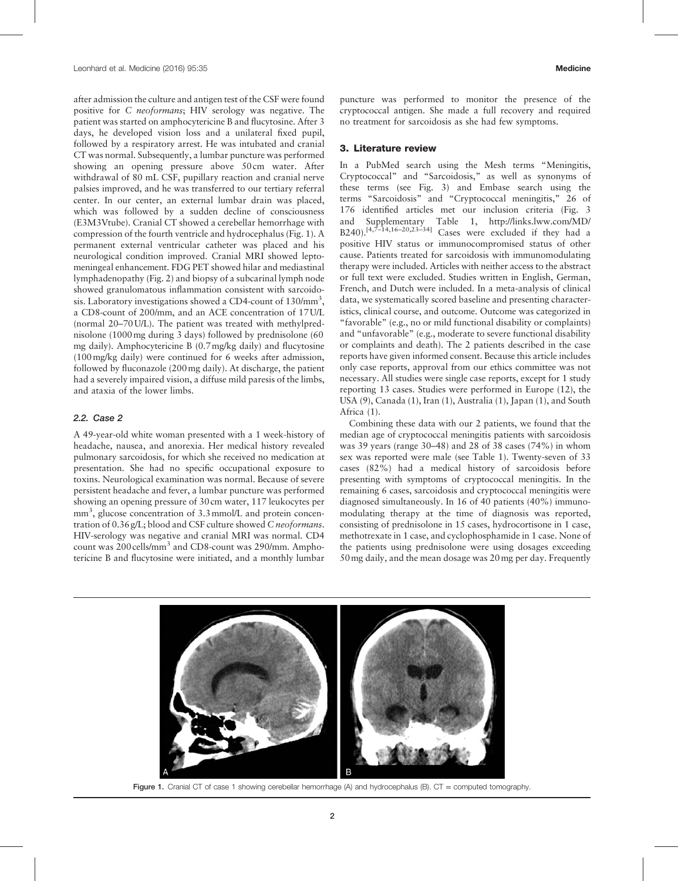after admission the culture and antigen test of the CSF were found positive for C neoformans; HIV serology was negative. The patient was started on amphocytericine B and flucytosine. After 3 days, he developed vision loss and a unilateral fixed pupil, followed by a respiratory arrest. He was intubated and cranial CT was normal. Subsequently, a lumbar puncture was performed showing an opening pressure above 50 cm water. After withdrawal of 80 mL CSF, pupillary reaction and cranial nerve palsies improved, and he was transferred to our tertiary referral center. In our center, an external lumbar drain was placed, which was followed by a sudden decline of consciousness (E3M3Vtube). Cranial CT showed a cerebellar hemorrhage with compression of the fourth ventricle and hydrocephalus (Fig. 1). A permanent external ventricular catheter was placed and his neurological condition improved. Cranial MRI showed leptomeningeal enhancement. FDG PET showed hilar and mediastinal lymphadenopathy ([Fig. 2\)](#page-2-0) and biopsy of a subcarinal lymph node showed granulomatous inflammation consistent with sarcoidosis. Laboratory investigations showed a CD4-count of  $130/\text{mm}^3$ , a CD8-count of 200/mm, and an ACE concentration of 17 U/L (normal 20–70 U/L). The patient was treated with methylprednisolone (1000mg during 3 days) followed by prednisolone (60 mg daily). Amphocytericine B (0.7mg/kg daily) and flucytosine (100mg/kg daily) were continued for 6 weeks after admission, followed by fluconazole (200mg daily). At discharge, the patient had a severely impaired vision, a diffuse mild paresis of the limbs, and ataxia of the lower limbs.

# 2.2. Case 2

A 49-year-old white woman presented with a 1 week-history of headache, nausea, and anorexia. Her medical history revealed pulmonary sarcoidosis, for which she received no medication at presentation. She had no specific occupational exposure to toxins. Neurological examination was normal. Because of severe persistent headache and fever, a lumbar puncture was performed showing an opening pressure of 30 cm water, 117 leukocytes per mm<sup>3</sup>, glucose concentration of 3.3 mmol/L and protein concentration of 0.36 g/L; blood and CSF culture showed C neoformans. HIV-serology was negative and cranial MRI was normal. CD4 count was 200 cells/mm<sup>3</sup> and CD8-count was 290/mm. Amphotericine B and flucytosine were initiated, and a monthly lumbar puncture was performed to monitor the presence of the cryptococcal antigen. She made a full recovery and required no treatment for sarcoidosis as she had few symptoms.

#### 3. Literature review

In a PubMed search using the Mesh terms "Meningitis, Cryptococcal" and "Sarcoidosis," as well as synonyms of these terms (see [Fig. 3\)](#page-3-0) and Embase search using the terms "Sarcoidosis" and "Cryptococcal meningitis," 26 of 176 identified articles met our inclusion criteria ([Fig. 3](#page-3-0) and Supplementary Table 1, [http://links.lww.com/MD/](http://links.lww.com/MD/B240)  $B240$ ).<sup>[4,7–14,16–20,23–34]</sup> Cases were excluded if they had a positive HIV status or immunocompromised status of other cause. Patients treated for sarcoidosis with immunomodulating therapy were included. Articles with neither access to the abstract or full text were excluded. Studies written in English, German, French, and Dutch were included. In a meta-analysis of clinical data, we systematically scored baseline and presenting characteristics, clinical course, and outcome. Outcome was categorized in "favorable" (e.g., no or mild functional disability or complaints) and "unfavorable" (e.g., moderate to severe functional disability or complaints and death). The 2 patients described in the case reports have given informed consent. Because this article includes only case reports, approval from our ethics committee was not necessary. All studies were single case reports, except for 1 study reporting 13 cases. Studies were performed in Europe (12), the USA (9), Canada (1), Iran (1), Australia (1), Japan (1), and South Africa (1).

Combining these data with our 2 patients, we found that the median age of cryptococcal meningitis patients with sarcoidosis was 39 years (range 30–48) and 28 of 38 cases (74%) in whom sex was reported were male (see [Table 1\)](#page-4-0). Twenty-seven of 33 cases (82%) had a medical history of sarcoidosis before presenting with symptoms of cryptococcal meningitis. In the remaining 6 cases, sarcoidosis and cryptococcal meningitis were diagnosed simultaneously. In 16 of 40 patients (40%) immunomodulating therapy at the time of diagnosis was reported, consisting of prednisolone in 15 cases, hydrocortisone in 1 case, methotrexate in 1 case, and cyclophosphamide in 1 case. None of the patients using prednisolone were using dosages exceeding 50mg daily, and the mean dosage was 20mg per day. Frequently



Figure 1. Cranial CT of case 1 showing cerebellar hemorrhage (A) and hydrocephalus (B). CT = computed tomography.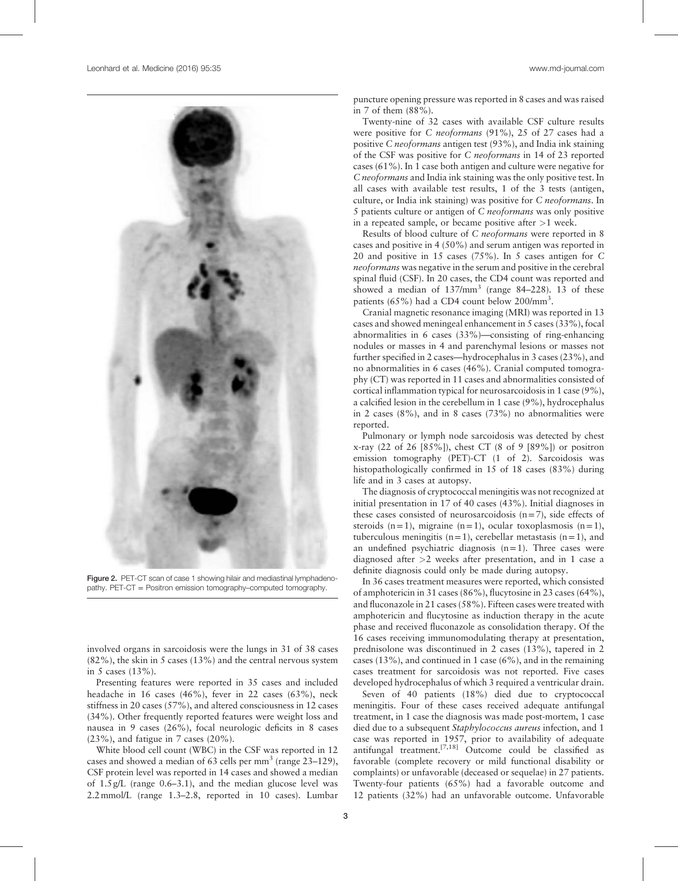<span id="page-2-0"></span>

Figure 2. PET-CT scan of case 1 showing hilair and mediastinal lymphadenopathy. PET-CT = Positron emission tomography–computed tomography.

involved organs in sarcoidosis were the lungs in 31 of 38 cases (82%), the skin in 5 cases (13%) and the central nervous system in 5 cases (13%).

Presenting features were reported in 35 cases and included headache in 16 cases (46%), fever in 22 cases (63%), neck stiffness in 20 cases (57%), and altered consciousness in 12 cases (34%). Other frequently reported features were weight loss and nausea in 9 cases (26%), focal neurologic deficits in 8 cases (23%), and fatigue in 7 cases (20%).

White blood cell count (WBC) in the CSF was reported in 12 cases and showed a median of 63 cells per  $mm<sup>3</sup>$  (range 23–129), CSF protein level was reported in 14 cases and showed a median of 1.5 g/L (range 0.6–3.1), and the median glucose level was 2.2mmol/L (range 1.3–2.8, reported in 10 cases). Lumbar puncture opening pressure was reported in 8 cases and was raised in 7 of them (88%).

Twenty-nine of 32 cases with available CSF culture results were positive for C neoformans (91%), 25 of 27 cases had a positive C neoformans antigen test (93%), and India ink staining of the CSF was positive for C neoformans in 14 of 23 reported cases (61%). In 1 case both antigen and culture were negative for C neoformans and India ink staining was the only positive test. In all cases with available test results, 1 of the 3 tests (antigen, culture, or India ink staining) was positive for C neoformans. In 5 patients culture or antigen of C neoformans was only positive in a repeated sample, or became positive after  $>1$  week.

Results of blood culture of C neoformans were reported in 8 cases and positive in 4 (50%) and serum antigen was reported in 20 and positive in 15 cases (75%). In 5 cases antigen for C neoformans was negative in the serum and positive in the cerebral spinal fluid (CSF). In 20 cases, the CD4 count was reported and showed a median of  $137/\text{mm}^3$  (range 84-228). 13 of these patients (65%) had a CD4 count below 200/mm<sup>3</sup>.

Cranial magnetic resonance imaging (MRI) was reported in 13 cases and showed meningeal enhancement in 5 cases (33%), focal abnormalities in 6 cases (33%)—consisting of ring-enhancing nodules or masses in 4 and parenchymal lesions or masses not further specified in 2 cases—hydrocephalus in 3 cases (23%), and no abnormalities in 6 cases (46%). Cranial computed tomography (CT) was reported in 11 cases and abnormalities consisted of cortical inflammation typical for neurosarcoidosis in 1 case (9%), a calcified lesion in the cerebellum in 1 case (9%), hydrocephalus in 2 cases (8%), and in 8 cases (73%) no abnormalities were reported.

Pulmonary or lymph node sarcoidosis was detected by chest x-ray (22 of 26 [85%]), chest CT (8 of 9 [89%]) or positron emission tomography (PET)-CT (1 of 2). Sarcoidosis was histopathologically confirmed in 15 of 18 cases (83%) during life and in 3 cases at autopsy.

The diagnosis of cryptococcal meningitis was not recognized at initial presentation in 17 of 40 cases (43%). Initial diagnoses in these cases consisted of neurosarcoidosis  $(n=7)$ , side effects of steroids  $(n=1)$ , migraine  $(n=1)$ , ocular toxoplasmosis  $(n=1)$ , tuberculous meningitis  $(n=1)$ , cerebellar metastasis  $(n=1)$ , and an undefined psychiatric diagnosis  $(n=1)$ . Three cases were diagnosed after >2 weeks after presentation, and in 1 case a definite diagnosis could only be made during autopsy.

In 36 cases treatment measures were reported, which consisted of amphotericin in 31 cases (86%), flucytosine in 23 cases (64%), and fluconazole in 21 cases (58%). Fifteen cases were treated with amphotericin and flucytosine as induction therapy in the acute phase and received fluconazole as consolidation therapy. Of the 16 cases receiving immunomodulating therapy at presentation, prednisolone was discontinued in 2 cases (13%), tapered in 2 cases (13%), and continued in 1 case (6%), and in the remaining cases treatment for sarcoidosis was not reported. Five cases developed hydrocephalus of which 3 required a ventricular drain.

Seven of 40 patients (18%) died due to cryptococcal meningitis. Four of these cases received adequate antifungal treatment, in 1 case the diagnosis was made post-mortem, 1 case died due to a subsequent Staphylococcus aureus infection, and 1 case was reported in 1957, prior to availability of adequate antifungal treatment.[7,18] Outcome could be classified as favorable (complete recovery or mild functional disability or complaints) or unfavorable (deceased or sequelae) in 27 patients. Twenty-four patients (65%) had a favorable outcome and 12 patients (32%) had an unfavorable outcome. Unfavorable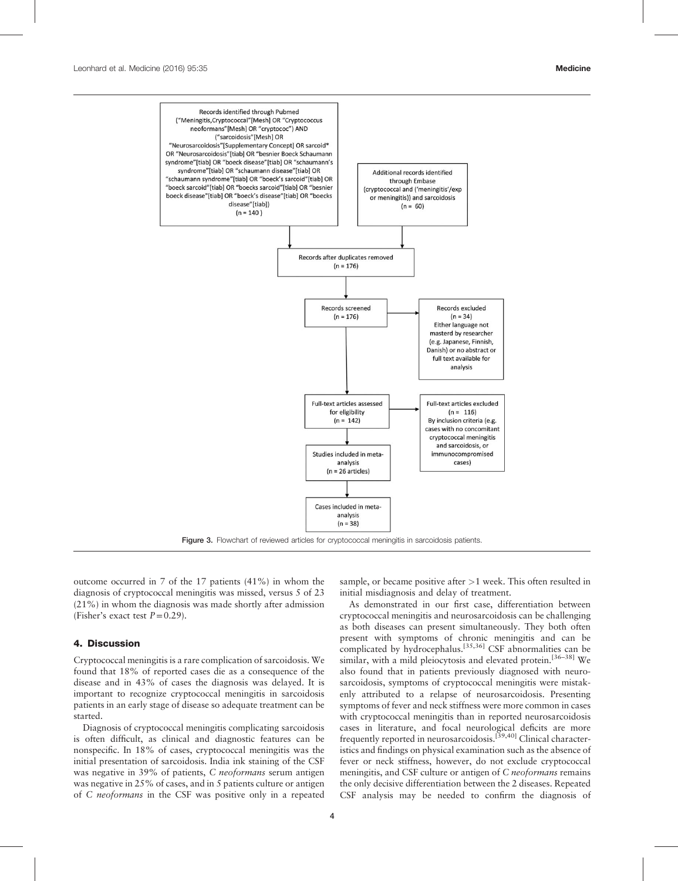<span id="page-3-0"></span>

outcome occurred in 7 of the 17 patients (41%) in whom the diagnosis of cryptococcal meningitis was missed, versus 5 of 23 (21%) in whom the diagnosis was made shortly after admission (Fisher's exact test  $P=0.29$ ).

# 4. Discussion

Cryptococcal meningitis is a rare complication of sarcoidosis. We found that 18% of reported cases die as a consequence of the disease and in 43% of cases the diagnosis was delayed. It is important to recognize cryptococcal meningitis in sarcoidosis patients in an early stage of disease so adequate treatment can be started.

Diagnosis of cryptococcal meningitis complicating sarcoidosis is often difficult, as clinical and diagnostic features can be nonspecific. In 18% of cases, cryptococcal meningitis was the initial presentation of sarcoidosis. India ink staining of the CSF was negative in 39% of patients, C neoformans serum antigen was negative in 25% of cases, and in 5 patients culture or antigen of C neoformans in the CSF was positive only in a repeated sample, or became positive after >1 week. This often resulted in initial misdiagnosis and delay of treatment.

As demonstrated in our first case, differentiation between cryptococcal meningitis and neurosarcoidosis can be challenging as both diseases can present simultaneously. They both often present with symptoms of chronic meningitis and can be complicated by hydrocephalus.<sup>[35,36]</sup> CSF abnormalities can be similar, with a mild pleiocytosis and elevated protein.<sup>[36-38]</sup> We also found that in patients previously diagnosed with neurosarcoidosis, symptoms of cryptococcal meningitis were mistakenly attributed to a relapse of neurosarcoidosis. Presenting symptoms of fever and neck stiffness were more common in cases with cryptococcal meningitis than in reported neurosarcoidosis cases in literature, and focal neurological deficits are more frequently reported in neurosarcoidosis.[39,40] Clinical characteristics and findings on physical examination such as the absence of fever or neck stiffness, however, do not exclude cryptococcal meningitis, and CSF culture or antigen of C *neoformans* remains the only decisive differentiation between the 2 diseases. Repeated CSF analysis may be needed to confirm the diagnosis of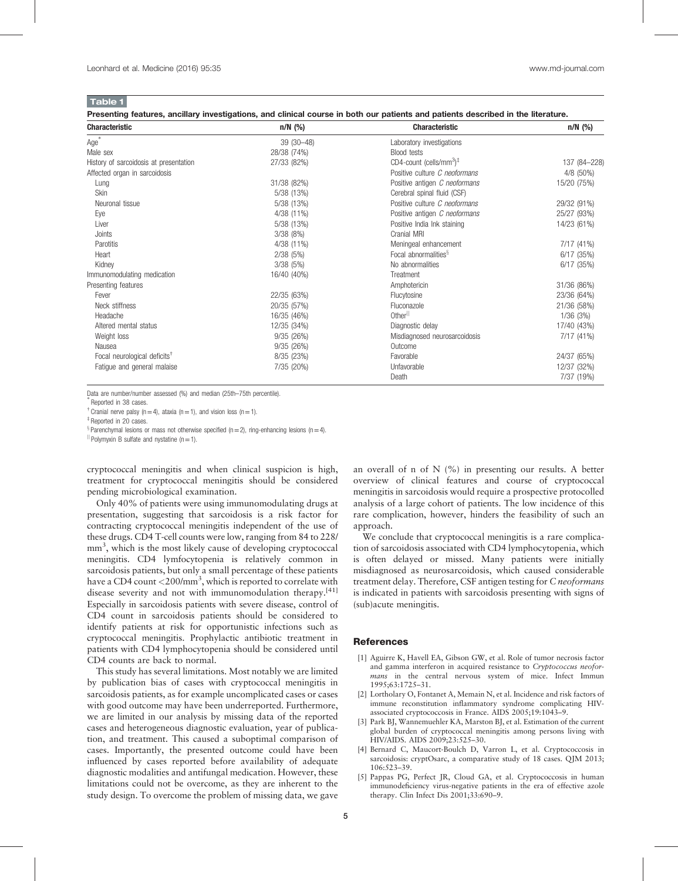<span id="page-4-0"></span>Table 1

Presenting features, ancillary investigations, and clinical course in both our patients and patients described in the literature.

| <b>Characteristic</b>                                 | $n/N$ (%)   | <b>Characteristic</b>                | $n/N$ (%)    |
|-------------------------------------------------------|-------------|--------------------------------------|--------------|
| Age <sup>*</sup>                                      | 39 (30-48)  | Laboratory investigations            |              |
| Male sex                                              | 28/38 (74%) | <b>Blood tests</b>                   |              |
| History of sarcoidosis at presentation                | 27/33 (82%) | CD4-count (cells/mm $3$ <sup>#</sup> | 137 (84-228) |
| Affected organ in sarcoidosis                         |             | Positive culture C neoformans        | 4/8 (50%)    |
| Lung                                                  | 31/38 (82%) | Positive antigen C neoformans        | 15/20 (75%)  |
| Skin                                                  | 5/38 (13%)  | Cerebral spinal fluid (CSF)          |              |
| Neuronal tissue                                       | 5/38 (13%)  | Positive culture C neoformans        | 29/32 (91%)  |
| Eye                                                   | 4/38 (11%)  | Positive antigen C neoformans        | 25/27 (93%)  |
| Liver                                                 | 5/38 (13%)  | Positive India Ink staining          | 14/23 (61%)  |
| Joints                                                | 3/38(8%)    | Cranial MRI                          |              |
| Parotitis                                             | 4/38 (11%)  | Meningeal enhancement                | 7/17 (41%)   |
| Heart                                                 | 2/38(5%)    | Focal abnormalities <sup>§</sup>     | 6/17 (35%)   |
| Kidney                                                | 3/38(5%)    | No abnormalities                     | 6/17(35%)    |
| Immunomodulating medication                           | 16/40 (40%) | Treatment                            |              |
| Presenting features                                   |             | Amphotericin                         | 31/36 (86%)  |
| Fever                                                 | 22/35 (63%) | Flucytosine                          | 23/36 (64%)  |
| Neck stiffness                                        | 20/35 (57%) | Fluconazole                          | 21/36 (58%)  |
| Headache                                              | 16/35 (46%) | Otherll                              | 1/36(3%)     |
| Altered mental status                                 | 12/35 (34%) | Diagnostic delay                     | 17/40 (43%)  |
| Weight loss                                           | 9/35(26%)   | Misdiagnosed neurosarcoidosis        | 7/17 (41%)   |
| Nausea                                                | 9/35(26%)   | Outcome                              |              |
| Focal neurological deficits <sup><math>†</math></sup> | 8/35 (23%)  | Favorable                            | 24/37 (65%)  |
| Fatigue and general malaise                           | 7/35 (20%)  | Unfavorable                          | 12/37 (32%)  |
|                                                       |             | Death                                | 7/37 (19%)   |

Data are number/number assessed (%) and median (25th-75th percentile).

Reported in 38 cases.

 $\dagger$  Cranial nerve palsy (n=4), ataxia (n=1), and vision loss (n=1).

‡ Reported in 20 cases.

 $\frac{8}{3}$  Parenchymal lesions or mass not otherwise specified (n = 2), ring-enhancing lesions (n = 4).

 $\parallel$  Polymyxin B sulfate and nystatine (n=1).

cryptococcal meningitis and when clinical suspicion is high, treatment for cryptococcal meningitis should be considered pending microbiological examination.

Only 40% of patients were using immunomodulating drugs at presentation, suggesting that sarcoidosis is a risk factor for contracting cryptococcal meningitis independent of the use of these drugs. CD4 T-cell counts were low, ranging from 84 to 228/ mm<sup>3</sup>, which is the most likely cause of developing cryptococcal meningitis. CD4 lymfocytopenia is relatively common in sarcoidosis patients, but only a small percentage of these patients have a CD4 count  $\langle 200/\text{mm}^3,$  which is reported to correlate with disease severity and not with immunomodulation therapy.<sup>[\[41\]](#page-5-0)</sup> Especially in sarcoidosis patients with severe disease, control of CD4 count in sarcoidosis patients should be considered to identify patients at risk for opportunistic infections such as cryptococcal meningitis. Prophylactic antibiotic treatment in patients with CD4 lymphocytopenia should be considered until CD4 counts are back to normal.

This study has several limitations. Most notably we are limited by publication bias of cases with cryptococcal meningitis in sarcoidosis patients, as for example uncomplicated cases or cases with good outcome may have been underreported. Furthermore, we are limited in our analysis by missing data of the reported cases and heterogeneous diagnostic evaluation, year of publication, and treatment. This caused a suboptimal comparison of cases. Importantly, the presented outcome could have been influenced by cases reported before availability of adequate diagnostic modalities and antifungal medication. However, these limitations could not be overcome, as they are inherent to the study design. To overcome the problem of missing data, we gave

an overall of n of  $N$  (%) in presenting our results. A better overview of clinical features and course of cryptococcal meningitis in sarcoidosis would require a prospective protocolled analysis of a large cohort of patients. The low incidence of this rare complication, however, hinders the feasibility of such an approach.

We conclude that cryptococcal meningitis is a rare complication of sarcoidosis associated with CD4 lymphocytopenia, which is often delayed or missed. Many patients were initially misdiagnosed as neurosarcoidosis, which caused considerable treatment delay. Therefore, CSF antigen testing for C neoformans is indicated in patients with sarcoidosis presenting with signs of (sub)acute meningitis.

#### **References**

- [1] Aguirre K, Havell EA, Gibson GW, et al. Role of tumor necrosis factor and gamma interferon in acquired resistance to Cryptococcus neoformans in the central nervous system of mice. Infect Immun 1995;63:1725–31.
- [2] Lortholary O, Fontanet A, Memain N, et al. Incidence and risk factors of immune reconstitution inflammatory syndrome complicating HIVassociated cryptococcosis in France. AIDS 2005;19:1043–9.
- [3] Park BJ, Wannemuehler KA, Marston BJ, et al. Estimation of the current global burden of cryptococcal meningitis among persons living with HIV/AIDS. AIDS 2009;23:525–30.
- [4] Bernard C, Maucort-Boulch D, Varron L, et al. Cryptococcosis in sarcoidosis: cryptOsarc, a comparative study of 18 cases. QJM 2013; 106:523–39.
- [5] Pappas PG, Perfect JR, Cloud GA, et al. Cryptococcosis in human immunodeficiency virus-negative patients in the era of effective azole therapy. Clin Infect Dis 2001;33:690–9.